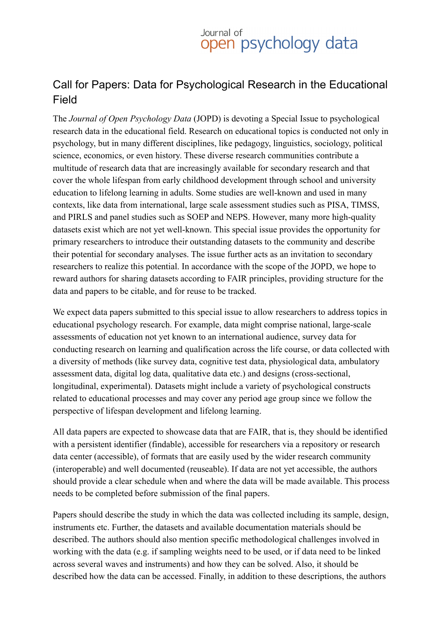## Journal of<br>**open** psychology data

## Call for Papers: Data for Psychological Research in the Educational Field

The *Journal of Open Psychology Data* (JOPD) is devoting a Special Issue to psychological research data in the educational field. Research on educational topics is conducted not only in psychology, but in many different disciplines, like pedagogy, linguistics, sociology, political science, economics, or even history. These diverse research communities contribute a multitude of research data that are increasingly available for secondary research and that cover the whole lifespan from early childhood development through school and university education to lifelong learning in adults. Some studies are well-known and used in many contexts, like data from international, large scale assessment studies such as PISA, TIMSS, and PIRLS and panel studies such as SOEP and NEPS. However, many more high-quality datasets exist which are not yet well-known. This special issue provides the opportunity for primary researchers to introduce their outstanding datasets to the community and describe their potential for secondary analyses. The issue further acts as an invitation to secondary researchers to realize this potential. In accordance with the scope of the JOPD, we hope to reward authors for sharing datasets according to FAIR principles, providing structure for the data and papers to be citable, and for reuse to be tracked.

We expect data papers submitted to this special issue to allow researchers to address topics in educational psychology research. For example, data might comprise national, large-scale assessments of education not yet known to an international audience, survey data for conducting research on learning and qualification across the life course, or data collected with a diversity of methods (like survey data, cognitive test data, physiological data, ambulatory assessment data, digital log data, qualitative data etc.) and designs (cross-sectional, longitudinal, experimental). Datasets might include a variety of psychological constructs related to educational processes and may cover any period age group since we follow the perspective of lifespan development and lifelong learning.

All data papers are expected to showcase data that are FAIR, that is, they should be identified with a persistent identifier (findable), accessible for researchers via a repository or research data center (accessible), of formats that are easily used by the wider research community (interoperable) and well documented (reuseable). If data are not yet accessible, the authors should provide a clear schedule when and where the data will be made available. This process needs to be completed before submission of the final papers.

Papers should describe the study in which the data was collected including its sample, design, instruments etc. Further, the datasets and available documentation materials should be described. The authors should also mention specific methodological challenges involved in working with the data (e.g. if sampling weights need to be used, or if data need to be linked across several waves and instruments) and how they can be solved. Also, it should be described how the data can be accessed. Finally, in addition to these descriptions, the authors